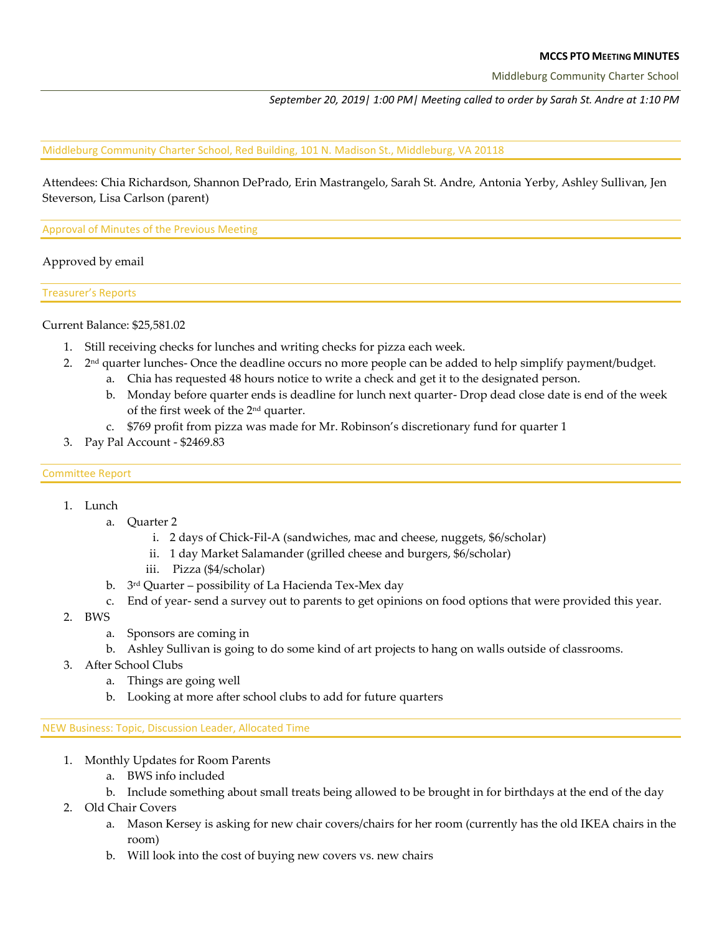#### **MCCS PTO MEETING MINUTES**

Middleburg Community Charter School

*September 20, 2019| 1:00 PM| Meeting called to order by Sarah St. Andre at 1:10 PM* 

#### Middleburg Community Charter School, Red Building, 101 N. Madison St., Middleburg, VA 20118

Attendees: Chia Richardson, Shannon DePrado, Erin Mastrangelo, Sarah St. Andre, Antonia Yerby, Ashley Sullivan, Jen Steverson, Lisa Carlson (parent)

Approval of Minutes of the Previous Meeting

## Approved by email

Treasurer's Reports

Current Balance: \$25,581.02

- 1. Still receiving checks for lunches and writing checks for pizza each week.
- 2.  $2<sup>nd</sup>$  quarter lunches- Once the deadline occurs no more people can be added to help simplify payment/budget.
	- a. Chia has requested 48 hours notice to write a check and get it to the designated person.
	- b. Monday before quarter ends is deadline for lunch next quarter- Drop dead close date is end of the week of the first week of the 2nd quarter.
	- c. \$769 profit from pizza was made for Mr. Robinson's discretionary fund for quarter 1
- 3. Pay Pal Account \$2469.83

#### Committee Report

# 1. Lunch

- a. Quarter 2
	- i. 2 days of Chick-Fil-A (sandwiches, mac and cheese, nuggets, \$6/scholar)
	- ii. 1 day Market Salamander (grilled cheese and burgers, \$6/scholar)
	- iii. Pizza (\$4/scholar)
- b. 3rd Quarter possibility of La Hacienda Tex-Mex day
- c. End of year- send a survey out to parents to get opinions on food options that were provided this year.
- 2. BWS
	- a. Sponsors are coming in
	- b. Ashley Sullivan is going to do some kind of art projects to hang on walls outside of classrooms.
- 3. After School Clubs
	- a. Things are going well
	- b. Looking at more after school clubs to add for future quarters

NEW Business: Topic, Discussion Leader, Allocated Time

- 1. Monthly Updates for Room Parents
	- a. BWS info included
	- b. Include something about small treats being allowed to be brought in for birthdays at the end of the day
- 2. Old Chair Covers
	- a. Mason Kersey is asking for new chair covers/chairs for her room (currently has the old IKEA chairs in the room)
	- b. Will look into the cost of buying new covers vs. new chairs